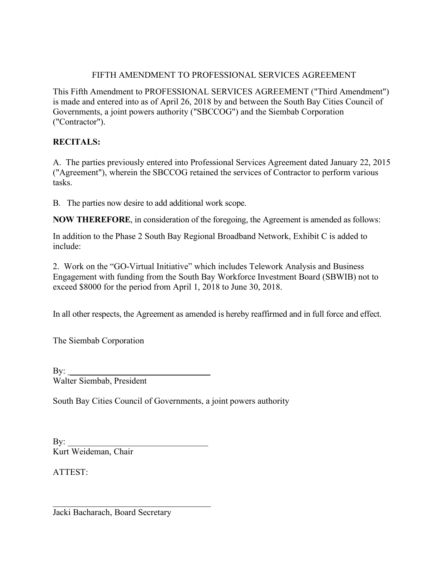## FIFTH AMENDMENT TO PROFESSIONAL SERVICES AGREEMENT

This Fifth Amendment to PROFESSIONAL SERVICES AGREEMENT ("Third Amendment") is made and entered into as of April 26, 2018 by and between the South Bay Cities Council of Governments, a joint powers authority ("SBCCOG") and the Siembab Corporation ("Contractor").

## **RECITALS:**

A. The parties previously entered into Professional Services Agreement dated January 22, 2015 ("Agreement"), wherein the SBCCOG retained the services of Contractor to perform various tasks.

B. The parties now desire to add additional work scope.

**NOW THEREFORE**, in consideration of the foregoing, the Agreement is amended as follows:

In addition to the Phase 2 South Bay Regional Broadband Network, Exhibit C is added to include:

2. Work on the "GO-Virtual Initiative" which includes Telework Analysis and Business Engagement with funding from the South Bay Workforce Investment Board (SBWIB) not to exceed \$8000 for the period from April 1, 2018 to June 30, 2018.

In all other respects, the Agreement as amended is hereby reaffirmed and in full force and effect.

The Siembab Corporation

| By: $\overline{\phantom{a}}$ |  |
|------------------------------|--|
| Walter Siembab, President    |  |

South Bay Cities Council of Governments, a joint powers authority

| By:                  |  |
|----------------------|--|
| Kurt Weideman, Chair |  |

 $\mathcal{L}_\text{max}$  , and the set of the set of the set of the set of the set of the set of the set of the set of the set of the set of the set of the set of the set of the set of the set of the set of the set of the set of the

ATTEST:

Jacki Bacharach, Board Secretary